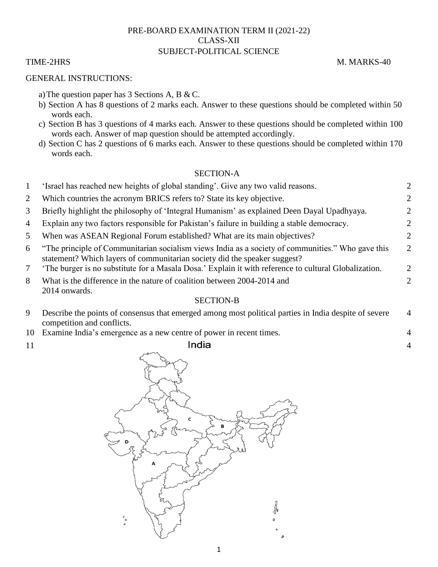## PRE-BOARD EXAMINATION TERM II (2021-22) CLASS-XII SUBJECT-POLITICAL SCIENCE

### GENERAL INSTRUCTIONS:

- a)The question paper has 3 Sections A, B & C.
- b) Section A has 8 questions of 2 marks each. Answer to these questions should be completed within 50 words each.
- c) Section B has 3 questions of 4 marks each. Answer to these questions should be completed within 100 words each. Answer of map question should be attempted accordingly.
- d) Section C has 2 questions of 6 marks each. Answer to these questions should be completed within 170 words each.

## SECTION-A

|                | 'Israel has reached new heights of global standing'. Give any two valid reasons.                                                                                              |  |
|----------------|-------------------------------------------------------------------------------------------------------------------------------------------------------------------------------|--|
|                | Which countries the acronym BRICS refers to? State its key objective.                                                                                                         |  |
| $\mathfrak{I}$ | Briefly highlight the philosophy of 'Integral Humanism' as explained Deen Dayal Upadhyaya.                                                                                    |  |
|                | 4 Explain any two factors responsible for Pakistan's failure in building a stable democracy.                                                                                  |  |
| 5 <sup>7</sup> | When was ASEAN Regional Forum established? What are its main objectives?                                                                                                      |  |
| 6              | The principle of Communitarian socialism views India as a society of communities." Who gave this<br>statement? Which layers of communitarian society did the speaker suggest? |  |
|                | The burger is no substitute for a Masala Dosa.' Explain it with reference to cultural Globalization.                                                                          |  |
| 8              | What is the difference in the nature of coalition between 2004-2014 and<br>2014 onwards.                                                                                      |  |
|                |                                                                                                                                                                               |  |

### SECTION-B

| Describe the points of consensus that emerged among most political parties in India despite of severe |  |
|-------------------------------------------------------------------------------------------------------|--|
| competition and conflicts.                                                                            |  |

- 10 Examine India"s emergence as a new centre of power in recent times. 4
- 



# TIME-2HRS M. MARKS-40